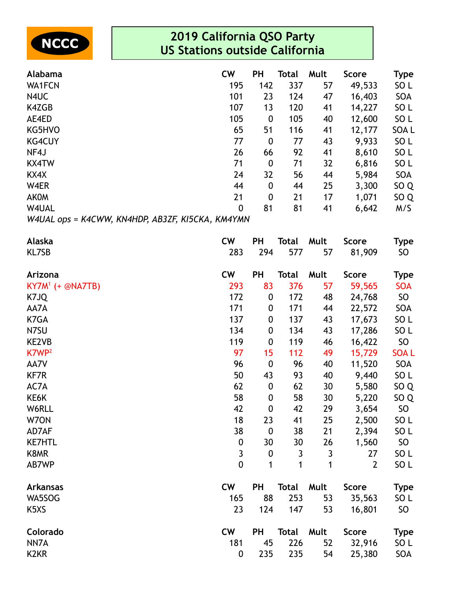

| Alabama                                          | <b>CW</b>      | ΡH               | Total | Mult | <b>Score</b> | Type            |
|--------------------------------------------------|----------------|------------------|-------|------|--------------|-----------------|
| <b>WA1FCN</b>                                    | 195            | 142              | 337   | 57   | 49,533       | SO <sub>L</sub> |
| N4UC                                             | 101            | 23               | 124   | 47   | 16,403       | <b>SOA</b>      |
| K4ZGB                                            | 107            | 13               | 120   | 41   | 14,227       | SO L            |
| AE4ED                                            | 105            | 0                | 105   | 40   | 12,600       | SO <sub>L</sub> |
| KG5HVO                                           | 65             | 51               | 116   | 41   | 12,177       | SOA L           |
| <b>KG4CUY</b>                                    | 77             | $\boldsymbol{0}$ | 77    | 43   | 9,933        | SO <sub>L</sub> |
| NF4J                                             | 26             | 66               | 92    | 41   | 8,610        | SO <sub>L</sub> |
| <b>KX4TW</b>                                     | 71             | 0                | 71    | 32   | 6,816        | SO <sub>L</sub> |
| KX4X                                             | 24             | 32               | 56    | 44   | 5,984        | <b>SOA</b>      |
| W4ER                                             | 44             | 0                | 44    | 25   | 3,300        | SO <sub>Q</sub> |
| <b>AKOM</b>                                      | 21             | $\boldsymbol{0}$ | 21    | 17   | 1,071        | SO <sub>Q</sub> |
| W4UAL                                            | $\overline{0}$ | 81               | 81    | 41   | 6,642        | M/S             |
| W4UAL ops = K4CWW, KN4HDP, AB3ZF, KI5CKA, KM4YMN |                |                  |       |      |              |                 |

| Alaska                        | <b>CW</b>        | <b>PH</b>        | <b>Total</b> | Mult | <b>Score</b>   | Type            |
|-------------------------------|------------------|------------------|--------------|------|----------------|-----------------|
| KL7SB                         | 283              | 294              | 577          | 57   | 81,909         | SO              |
| Arizona                       | <b>CW</b>        | <b>PH</b>        | <b>Total</b> | Mult | <b>Score</b>   | <b>Type</b>     |
| $KY7M^1$ (+ @NA7TB)           | 293              | 83               | 376          | 57   | 59,565         | <b>SOA</b>      |
| K7JQ                          | 172              | $\pmb{0}$        | 172          | 48   | 24,768         | SO <sub>1</sub> |
| AA7A                          | 171              | $\boldsymbol{0}$ | 171          | 44   | 22,572         | SOA             |
| K7GA                          | 137              | $\boldsymbol{0}$ | 137          | 43   | 17,673         | SO <sub>L</sub> |
| N7SU                          | 134              | $\boldsymbol{0}$ | 134          | 43   | 17,286         | SO <sub>L</sub> |
| KE2VB                         | 119              | $\boldsymbol{0}$ | 119          | 46   | 16,422         | SO <sub>1</sub> |
| K7WP <sup>2</sup>             | 97               | 15               | 112          | 49   | 15,729         | <b>SOAL</b>     |
| AA7V                          | 96               | $\boldsymbol{0}$ | 96           | 40   | 11,520         | SOA             |
| <b>KF7R</b>                   | 50               | 43               | 93           | 40   | 9,440          | SO <sub>L</sub> |
| AC7A                          | 62               | $\pmb{0}$        | 62           | 30   | 5,580          | SO <sub>Q</sub> |
| KE6K                          | 58               | $\pmb{0}$        | 58           | 30   | 5,220          | SO <sub>Q</sub> |
| W6RLL                         | 42               | $\mathbf 0$      | 42           | 29   | 3,654          | SO <sub>1</sub> |
| W70N                          | 18               | 23               | 41           | 25   | 2,500          | SO <sub>L</sub> |
| AD7AF                         | 38               | $\boldsymbol{0}$ | 38           | 21   | 2,394          | SO <sub>L</sub> |
| <b>KE7HTL</b>                 | $\pmb{0}$        | 30               | 30           | 26   | 1,560          | SO              |
| K8MR                          | $\mathfrak{Z}$   | $\boldsymbol{0}$ | 3            | 3    | 27             | SO <sub>L</sub> |
| AB7WP                         | $\overline{0}$   | 1                | 1            | 1    | $\overline{2}$ | SO <sub>L</sub> |
| <b>Arkansas</b>               | <b>CW</b>        | PH               | <b>Total</b> | Mult | <b>Score</b>   | <b>Type</b>     |
| WA5SOG                        | 165              | 88               | 253          | 53   | 35,563         | SO <sub>L</sub> |
| K <sub>5</sub> X <sub>S</sub> | 23               | 124              | 147          | 53   | 16,801         | SO              |
| Colorado                      | <b>CW</b>        | <b>PH</b>        | <b>Total</b> | Mult | <b>Score</b>   | <b>Type</b>     |
| NN7A                          | 181              | 45               | 226          | 52   | 32,916         | SO <sub>L</sub> |
| K <sub>2</sub> KR             | $\boldsymbol{0}$ | 235              | 235          | 54   | 25,380         | SOA             |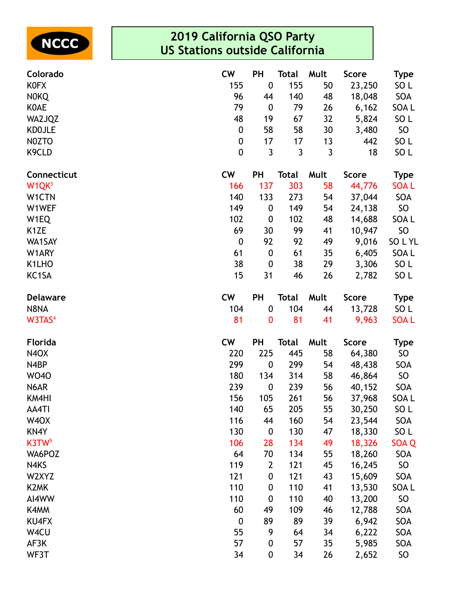

| Colorado                       | <b>CW</b>        | <b>PH</b>        | <b>Total</b> | Mult | <b>Score</b> | Type             |
|--------------------------------|------------------|------------------|--------------|------|--------------|------------------|
| <b>KOFX</b>                    | 155              | $\pmb{0}$        | 155          | 50   | 23,250       | SO <sub>L</sub>  |
| <b>NOKQ</b>                    | 96               | 44               | 140          | 48   | 18,048       | SOA              |
| <b>KOAE</b>                    | 79               | $\boldsymbol{0}$ | 79           | 26   | 6,162        | SOA L            |
| WA2JQZ                         | 48               | 19               | 67           | 32   | 5,824        | SO <sub>L</sub>  |
| <b>KDOJLE</b>                  | $\pmb{0}$        | 58               | 58           | 30   | 3,480        | SO <sub>1</sub>  |
| NOZTO                          | $\boldsymbol{0}$ | 17               | 17           | 13   | 442          | SO <sub>L</sub>  |
| K <sub>9</sub> CLD             | $\mathbf 0$      | 3                | $\mathbf{3}$ | 3    | 18           | SO <sub>L</sub>  |
| Connecticut                    | <b>CW</b>        | <b>PH</b>        | <b>Total</b> | Mult | <b>Score</b> | <b>Type</b>      |
| W <sub>1</sub> QK <sup>3</sup> | 166              | 137              | 303          | 58   | 44,776       | <b>SOAL</b>      |
| W1CTN                          | 140              | 133              | 273          | 54   | 37,044       | SOA              |
| W1WEF                          | 149              | $\boldsymbol{0}$ | 149          | 54   | 24,138       | SO               |
| W <sub>1</sub> EQ              | 102              | $\boldsymbol{0}$ | 102          | 48   | 14,688       | SOA L            |
| K <sub>1</sub> ZE              | 69               | 30               | 99           | 41   | 10,947       | <b>SO</b>        |
| WA1SAY                         | $\boldsymbol{0}$ | 92               | 92           | 49   | 9,016        | SOLYL            |
| W1ARY                          | 61               | $\boldsymbol{0}$ | 61           | 35   | 6,405        | SOA L            |
| K1LHO                          | 38               | $\boldsymbol{0}$ | 38           | 29   | 3,306        | SO <sub>L</sub>  |
| KC <sub>1</sub> SA             | 15               | 31               | 46           | 26   | 2,782        | SO <sub>L</sub>  |
| <b>Delaware</b>                | <b>CW</b>        | PH               | <b>Total</b> | Mult | <b>Score</b> | <b>Type</b>      |
| N8NA                           | 104              | $\pmb{0}$        | 104          | 44   | 13,728       | SO <sub>L</sub>  |
| W3TAS <sup>4</sup>             | 81               | $\bf{0}$         | 81           | 41   | 9,963        | <b>SOAL</b>      |
| <b>Florida</b>                 | <b>CW</b>        | <b>PH</b>        | <b>Total</b> | Mult | <b>Score</b> | <b>Type</b>      |
| <b>N4OX</b>                    | 220              | 225              | 445          | 58   | 64,380       | SO               |
| N4BP                           | 299              | $\boldsymbol{0}$ | 299          | 54   | 48,438       | SOA              |
| <b>WO40</b>                    | 180              | 134              | 314          | 58   | 46,864       | <b>SO</b>        |
| N6AR                           | 239              | $\boldsymbol{0}$ | 239          | 56   | 40,152       | SOA              |
| KM4HI                          | 156              | 105              | 261          | 56   | 37,968       | SOA L            |
| AA4TI                          | 140              | 65               | 205          | 55   | 30,250       | SO <sub>L</sub>  |
| W <sub>4</sub> OX              | 116              | 44               | 160          | 54   | 23,544       | SOA              |
| KN4Y                           | 130              | $\boldsymbol{0}$ | 130          | 47   | 18,330       | SO <sub>L</sub>  |
| K3TW <sub>5</sub>              | 106              | 28               | 134          | 49   | 18,326       | SOA <sub>Q</sub> |
| WA6POZ                         | 64               | 70               | 134          | 55   | 18,260       | SOA              |
| N4KS                           | 119              | $\mathbf{2}$     | 121          | 45   | 16,245       | SO               |
| W2XYZ                          | 121              | 0                | 121          | 43   | 15,609       | SOA              |
| K <sub>2</sub> MK              | 110              | 0                | 110          | 41   | 13,530       | SOA L            |
| AI4WW                          | 110              | $\boldsymbol{0}$ | 110          | 40   | 13,200       | <b>SO</b>        |
| K4MM                           | 60               | 49               | 109          | 46   | 12,788       | SOA              |
| <b>KU4FX</b>                   | $\boldsymbol{0}$ | 89               | 89           | 39   | 6,942        | SOA              |
| W4CU                           | 55               | 9                | 64           | 34   | 6,222        | SOA              |
| AF3K                           | 57               | $\boldsymbol{0}$ | 57           | 35   | 5,985        | SOA              |
| WF3T                           | 34               | 0                | 34           | 26   | 2,652        | <b>SO</b>        |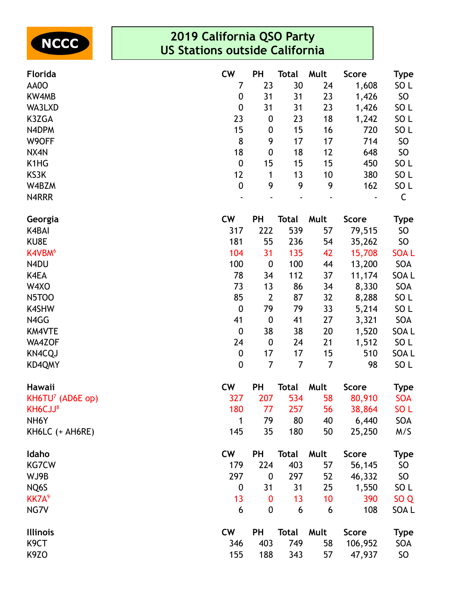

| Florida                       | <b>CW</b>        | <b>PH</b>        | <b>Total</b>   | Mult           | <b>Score</b> | Type            |
|-------------------------------|------------------|------------------|----------------|----------------|--------------|-----------------|
| AA0O                          | 7                | 23               | 30             | 24             | 1,608        | SO <sub>L</sub> |
| KW4MB                         | $\boldsymbol{0}$ | 31               | 31             | 23             | 1,426        | SO              |
| WA3LXD                        | $\boldsymbol{0}$ | 31               | 31             | 23             | 1,426        | SO <sub>L</sub> |
| K3ZGA                         | 23               | $\boldsymbol{0}$ | 23             | 18             | 1,242        | SO <sub>L</sub> |
| N4DPM                         | 15               | $\boldsymbol{0}$ | 15             | 16             | 720          | SO <sub>L</sub> |
| W9OFF                         | 8                | 9                | 17             | 17             | 714          | SO              |
| NX4N                          | 18               | $\boldsymbol{0}$ | 18             | 12             | 648          | SO              |
| K <sub>1</sub> H <sub>G</sub> | $\boldsymbol{0}$ | 15               | 15             | 15             | 450          | SO <sub>L</sub> |
| KS3K                          | 12               | 1                | 13             | 10             | 380          | SO <sub>L</sub> |
| W4BZM                         | $\mathbf 0$      | 9                | 9              | 9              | 162          | SO <sub>L</sub> |
| N4RRR                         |                  |                  |                |                |              | $\mathsf C$     |
| Georgia                       | <b>CW</b>        | <b>PH</b>        | <b>Total</b>   | Mult           | <b>Score</b> | Type            |
| K4BAI                         | 317              | 222              | 539            | 57             | 79,515       | SO              |
| KU8E                          | 181              | 55               | 236            | 54             | 35,262       | SO              |
| K4VBM <sup>6</sup>            | 104              | 31               | 135            | 42             | 15,708       | <b>SOAL</b>     |
| N4DU                          | 100              | $\boldsymbol{0}$ | 100            | 44             | 13,200       | SOA             |
| K4EA                          | 78               | 34               | 112            | 37             | 11,174       | SOA L           |
| W4XO                          | 73               | 13               | 86             | 34             | 8,330        | SOA             |
| <b>N5TOO</b>                  | 85               | $\overline{2}$   | 87             | 32             | 8,288        | SO <sub>L</sub> |
| <b>K4SHW</b>                  | $\mathbf 0$      | 79               | 79             | 33             | 5,214        | SO <sub>L</sub> |
| N4GG                          | 41               | $\boldsymbol{0}$ | 41             | 27             | 3,321        | SOA             |
| <b>KM4VTE</b>                 | $\boldsymbol{0}$ | 38               | 38             | 20             | 1,520        | SOA L           |
| WA4ZOF                        | 24               | $\boldsymbol{0}$ | 24             | 21             | 1,512        | SO <sub>L</sub> |
| <b>KN4CQJ</b>                 | $\pmb{0}$        | 17               | 17             | 15             | 510          | SOA L           |
| KD4QMY                        | $\mathbf 0$      | $\overline{7}$   | $\overline{7}$ | $\overline{7}$ | 98           | SO <sub>L</sub> |
| Hawaii                        | <b>CW</b>        | PH               | <b>Total</b>   | Mult           | <b>Score</b> | <b>Type</b>     |
| $KH6TU7$ (AD6E op)            | 327              | 207              | 534            | 58             | 80,910       | <b>SOA</b>      |
| KH6CJJ <sup>8</sup>           | 180              | 77               | 257            | 56             | 38,864       | SO <sub>L</sub> |
| NH <sub>6</sub> Y             | 1                | 79               | 80             | 40             | 6,440        | SOA             |
| KH6LC (+ AH6RE)               | 145              | 35               | 180            | 50             | 25,250       | M/S             |
| Idaho                         | <b>CW</b>        | <b>PH</b>        | <b>Total</b>   | Mult           | <b>Score</b> | <b>Type</b>     |
| <b>KG7CW</b>                  | 179              | 224              | 403            | 57             | 56,145       | SO              |
| WJ9B                          | 297              | $\boldsymbol{0}$ | 297            | 52             | 46,332       | SO              |
| NQ6S                          | 0                | 31               | 31             | 25             | 1,550        | SO <sub>L</sub> |
| KK7A <sup>9</sup>             | 13               | 0                | 13             | 10             | 390          | SO <sub>Q</sub> |
| NG7V                          | 6                | $\boldsymbol{0}$ | 6              | 6              | 108          | SOA L           |
| <b>Illinois</b>               | <b>CW</b>        | <b>PH</b>        | <b>Total</b>   | Mult           | <b>Score</b> | <b>Type</b>     |
| K <sub>9</sub> CT             | 346              | 403              | 749            | 58             | 106,952      | SOA             |
| K <sub>9</sub> ZO             | 155              | 188              | 343            | 57             | 47,937       | SO              |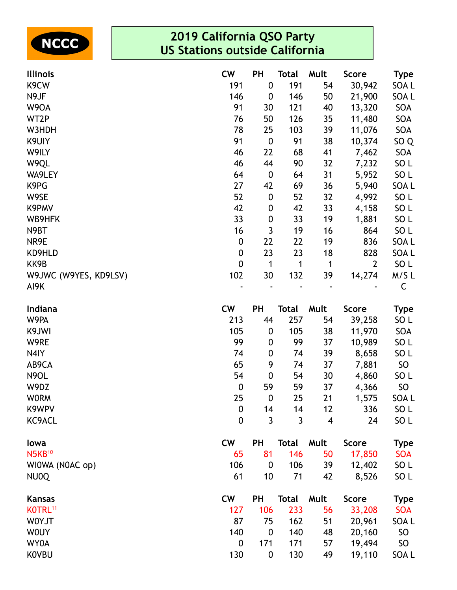

| <b>Illinois</b>       | <b>CW</b>        | <b>PH</b>        | <b>Total</b> | Mult                    | <b>Score</b>   | <b>Type</b>     |
|-----------------------|------------------|------------------|--------------|-------------------------|----------------|-----------------|
| K9CW                  | 191              | $\boldsymbol{0}$ | 191          | 54                      | 30,942         | SOA L           |
| N9JF                  | 146              | $\boldsymbol{0}$ | 146          | 50                      | 21,900         | SOA L           |
| W9OA                  | 91               | 30               | 121          | 40                      | 13,320         | SOA             |
| WT2P                  | 76               | 50               | 126          | 35                      | 11,480         | SOA             |
| W3HDH                 | 78               | 25               | 103          | 39                      | 11,076         | SOA             |
| K9UIY                 | 91               | $\boldsymbol{0}$ | 91           | 38                      | 10,374         | SO <sub>Q</sub> |
| W9ILY                 | 46               | 22               | 68           | 41                      | 7,462          | SOA             |
| W9QL                  | 46               | 44               | 90           | 32                      | 7,232          | SO <sub>L</sub> |
| WA9LEY                | 64               | $\boldsymbol{0}$ | 64           | 31                      | 5,952          | SO <sub>L</sub> |
| K9PG                  | 27               | 42               | 69           | 36                      | 5,940          | SOA L           |
| W9SE                  | 52               | $\boldsymbol{0}$ | 52           | 32                      | 4,992          | SO <sub>L</sub> |
| K9PMV                 | 42               | 0                | 42           | 33                      | 4,158          | SO L            |
| WB9HFK                | 33               | $\boldsymbol{0}$ | 33           | 19                      | 1,881          | SO <sub>L</sub> |
| N9BT                  | 16               | 3                | 19           | 16                      | 864            | SO <sub>L</sub> |
| NR9E                  | $\boldsymbol{0}$ | 22               | 22           | 19                      | 836            | SOA L           |
| KD9HLD                | $\boldsymbol{0}$ | 23               | 23           | 18                      | 828            | SOA L           |
| KK9B                  | $\mathbf 0$      | $\mathbf{1}$     | 1            | 1                       | $\overline{2}$ | SO <sub>L</sub> |
| W9JWC (W9YES, KD9LSV) | 102              | 30               | 132          | 39                      | 14,274         | M/SL            |
| AI9K                  |                  |                  |              |                         |                | $\mathsf C$     |
| Indiana               | <b>CW</b>        | PH               | <b>Total</b> | Mult                    | <b>Score</b>   | <b>Type</b>     |
| W9PA                  | 213              | 44               | 257          | 54                      | 39,258         | SO <sub>L</sub> |
| K9JWI                 | 105              | $\boldsymbol{0}$ | 105          | 38                      | 11,970         | SOA             |
| W9RE                  | 99               | 0                | 99           | 37                      | 10,989         | SO <sub>L</sub> |
| N4IY                  | 74               | $\boldsymbol{0}$ | 74           | 39                      | 8,658          | SO <sub>L</sub> |
| AB9CA                 | 65               | 9                | 74           | 37                      | 7,881          | SO              |
| N9OL                  | 54               | $\boldsymbol{0}$ | 54           | 30                      | 4,860          | SO <sub>L</sub> |
| W9DZ                  | $\boldsymbol{0}$ | 59               | 59           | 37                      | 4,366          | SO              |
| <b>WORM</b>           | 25               | $\boldsymbol{0}$ | 25           | 21                      | 1,575          | SOA L           |
| K9WPV                 | 0                | 14               | 14           | 12                      | 336            | SO L            |
| KC9ACL                | $\mathbf 0$      | 3                | 3            | $\overline{\mathbf{4}}$ | 24             | SO <sub>L</sub> |
| lowa                  | <b>CW</b>        | <b>PH</b>        | <b>Total</b> | Mult                    | <b>Score</b>   | <b>Type</b>     |
| <b>N5KB10</b>         | 65               | 81               | 146          | 50                      | 17,850         | <b>SOA</b>      |
| WIOWA (NOAC op)       | 106              | $\boldsymbol{0}$ | 106          | 39                      | 12,402         | SO <sub>L</sub> |
| NU0Q                  | 61               | 10               | 71           | 42                      | 8,526          | SO <sub>L</sub> |
| <b>Kansas</b>         | <b>CW</b>        | <b>PH</b>        | <b>Total</b> | Mult                    | <b>Score</b>   | <b>Type</b>     |
| KOTRL <sup>11</sup>   | 127              | 106              | 233          | 56                      | 33,208         | <b>SOA</b>      |
| W0YJT                 | 87               | 75               | 162          | 51                      | 20,961         | SOA L           |
| <b>WOUY</b>           | 140              | $\boldsymbol{0}$ | 140          | 48                      | 20,160         | SO              |
| WY0A                  | 0                | 171              | 171          | 57                      | 19,494         | SO              |
| <b>KOVBU</b>          | 130              | $\boldsymbol{0}$ | 130          | 49                      | 19,110         | SOA L           |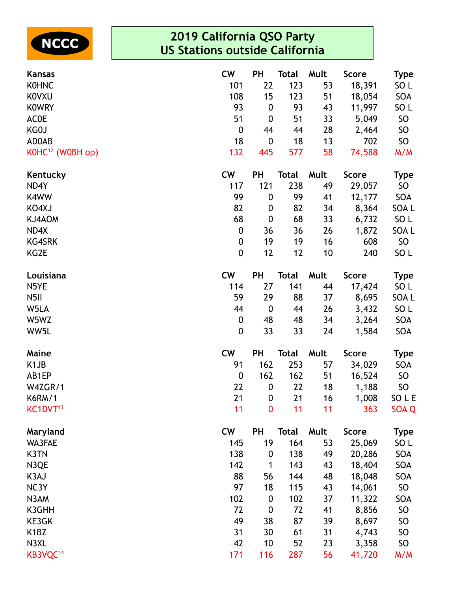

| <b>Kansas</b>                 | <b>CW</b>        | <b>PH</b>        | Total        | Mult | <b>Score</b> | <b>Type</b>     |
|-------------------------------|------------------|------------------|--------------|------|--------------|-----------------|
| <b>KOHNC</b>                  | 101              | 22               | 123          | 53   | 18,391       | SO <sub>L</sub> |
| <b>KOVXU</b>                  | 108              | 15               | 123          | 51   | 18,054       | SOA             |
| <b>KOWRY</b>                  | 93               | $\boldsymbol{0}$ | 93           | 43   | 11,997       | SO <sub>L</sub> |
| <b>ACOE</b>                   | 51               | $\boldsymbol{0}$ | 51           | 33   | 5,049        | <b>SO</b>       |
| KG0J                          | $\boldsymbol{0}$ | 44               | 44           | 28   | 2,464        | <b>SO</b>       |
| AD0AB                         | 18               | $\boldsymbol{0}$ | 18           | 13   | 702          | SO <sub>1</sub> |
| K0HC <sup>12</sup> (W0BH op)  | 132              | 445              | 577          | 58   | 74,588       | M/M             |
| Kentucky                      | <b>CW</b>        | <b>PH</b>        | Total        | Mult | <b>Score</b> | <b>Type</b>     |
| ND4Y                          | 117              | 121              | 238          | 49   | 29,057       | SO              |
| K4WW                          | 99               | $\boldsymbol{0}$ | 99           | 41   | 12,177       | SOA             |
| KO4XJ                         | 82               | $\boldsymbol{0}$ | 82           | 34   | 8,364        | SOA L           |
| KJ4AOM                        | 68               | $\boldsymbol{0}$ | 68           | 33   | 6,732        | SO L            |
| ND4X                          | $\boldsymbol{0}$ | 36               | 36           | 26   | 1,872        | SOA L           |
| <b>KG4SRK</b>                 | $\boldsymbol{0}$ | 19               | 19           | 16   | 608          | SO <sub>1</sub> |
| KG2E                          | $\boldsymbol{0}$ | 12               | 12           | 10   | 240          | SO L            |
| Louisiana                     | <b>CW</b>        | <b>PH</b>        | <b>Total</b> | Mult | <b>Score</b> | <b>Type</b>     |
| N5YE                          | 114              | 27               | 141          | 44   | 17,424       | SO L            |
| N <sub>5</sub> II             | 59               | 29               | 88           | 37   | 8,695        | SOA L           |
| W5LA                          | 44               | $\boldsymbol{0}$ | 44           | 26   | 3,432        | SO <sub>L</sub> |
| W5WZ                          | $\boldsymbol{0}$ | 48               | 48           | 34   | 3,264        | SOA             |
| WW5L                          | $\boldsymbol{0}$ | 33               | 33           | 24   | 1,584        | SOA             |
| Maine                         | <b>CW</b>        | <b>PH</b>        | <b>Total</b> | Mult | <b>Score</b> | <b>Type</b>     |
| K <sub>1</sub> JB             | 91               | 162              | 253          | 57   | 34,029       | SOA             |
| AB1EP                         | $\boldsymbol{0}$ | 162              | 162          | 51   | 16,524       | SO              |
| W4ZGR/1                       | 22               | $\boldsymbol{0}$ | 22           | 18   | 1,188        | SO              |
| <b>K6RM/1</b>                 | 21               | $\boldsymbol{0}$ | 21           | 16   | 1,008        | SO L E          |
| KC1DVT <sup>13</sup>          | 11               | $\bf{0}$         | 11           | 11   | 363          | SOA Q           |
| Maryland                      | <b>CW</b>        | <b>PH</b>        | <b>Total</b> | Mult | <b>Score</b> | <b>Type</b>     |
| WA3FAE                        | 145              | 19               | 164          | 53   | 25,069       | SO <sub>L</sub> |
| K3TN                          | 138              | $\boldsymbol{0}$ | 138          | 49   | 20,286       | SOA             |
| N3QE                          | 142              | 1                | 143          | 43   | 18,404       | SOA             |
| K3AJ                          | 88               | 56               | 144          | 48   | 18,048       | SOA             |
| NC3Y                          | 97               | 18               | 115          | 43   | 14,061       | SO              |
| N3AM                          | 102              | $\boldsymbol{0}$ | 102          | 37   | 11,322       | SOA             |
| K3GHH                         | 72               | $\boldsymbol{0}$ | 72           | 41   | 8,856        | <b>SO</b>       |
| KE3GK                         | 49               | 38               | 87           | 39   | 8,697        | <b>SO</b>       |
| K <sub>1</sub> B <sub>Z</sub> | 31               | 30               | 61           | 31   | 4,743        | <b>SO</b>       |
| N3XL                          | 42               | 10               | 52           | 23   | 3,358        | <b>SO</b>       |
| KB3VQC <sup>14</sup>          | 171              | 116              | 287          | 56   | 41,720       | M/M             |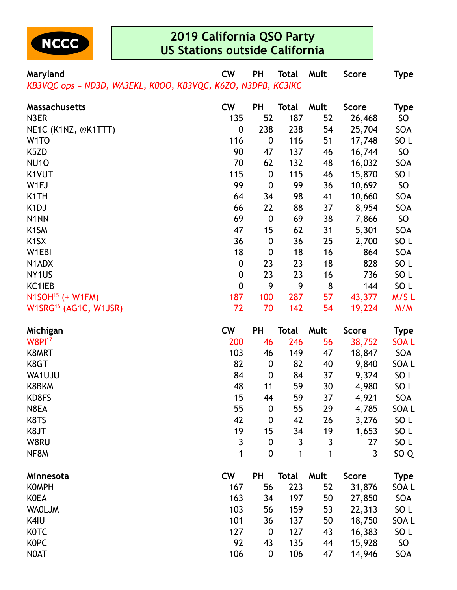

**Maryland CW PH Total Mult Score Type** *KB3VQC ops = ND3D, WA3EKL, K0OO, KB3VQC, K6ZO, N3DPB, KC3IKC*

| <b>Massachusetts</b>              | <b>CW</b>        | PH               | Total | Mult | <b>Score</b> | <b>Type</b>     |
|-----------------------------------|------------------|------------------|-------|------|--------------|-----------------|
| N3ER                              | 135              | 52               | 187   | 52   | 26,468       | SO              |
| NE1C (K1NZ, @K1TTT)               | 0                | 238              | 238   | 54   | 25,704       | SOA             |
| W <sub>1</sub> TO                 | 116              | $\boldsymbol{0}$ | 116   | 51   | 17,748       | SO <sub>L</sub> |
| K5ZD                              | 90               | 47               | 137   | 46   | 16,744       | SO              |
| <b>NU10</b>                       | 70               | 62               | 132   | 48   | 16,032       | SOA             |
| K1VUT                             | 115              | $\boldsymbol{0}$ | 115   | 46   | 15,870       | SO <sub>L</sub> |
| W1FJ                              | 99               | $\boldsymbol{0}$ | 99    | 36   | 10,692       | SO              |
| K <sub>1</sub> TH                 | 64               | 34               | 98    | 41   | 10,660       | SOA             |
| K <sub>1</sub> DJ                 | 66               | 22               | 88    | 37   | 8,954        | SOA             |
| N <sub>1</sub> NN                 | 69               | $\boldsymbol{0}$ | 69    | 38   | 7,866        | <b>SO</b>       |
| K <sub>1</sub> SM                 | 47               | 15               | 62    | 31   | 5,301        | SOA             |
| K <sub>1</sub> SX                 | 36               | $\boldsymbol{0}$ | 36    | 25   | 2,700        | SO <sub>L</sub> |
| W1EBI                             | 18               | $\boldsymbol{0}$ | 18    | 16   | 864          | SOA             |
| N1ADX                             | $\boldsymbol{0}$ | 23               | 23    | 18   | 828          | SO <sub>L</sub> |
| NY <sub>1</sub> US                | $\mathbf 0$      | 23               | 23    | 16   | 736          | SO <sub>L</sub> |
| KC1IEB                            | $\mathbf 0$      | 9                | 9     | 8    | 144          | SO <sub>L</sub> |
| N1SOH <sup>15</sup> (+ W1FM)      | 187              | 100              | 287   | 57   | 43,377       | M/SL            |
| W1SRG <sup>16</sup> (AG1C, W1JSR) | 72               | 70               | 142   | 54   | 19,224       | M/M             |

| Michigan      | <b>CW</b> | PH               | Total | Mult | <b>Score</b> | <b>Type</b>     |
|---------------|-----------|------------------|-------|------|--------------|-----------------|
| <b>W8PI17</b> | 200       | 46               | 246   | 56   | 38,752       | <b>SOAL</b>     |
| K8MRT         | 103       | 46               | 149   | 47   | 18,847       | SOA             |
| K8GT          | 82        | $\boldsymbol{0}$ | 82    | 40   | 9,840        | SOA L           |
| WA1UJU        | 84        | $\mathbf 0$      | 84    | 37   | 9,324        | SO <sub>L</sub> |
| K8BKM         | 48        | 11               | 59    | 30   | 4,980        | SO <sub>L</sub> |
| KD8FS         | 15        | 44               | 59    | 37   | 4,921        | <b>SOA</b>      |
| N8EA          | 55        | $\boldsymbol{0}$ | 55    | 29   | 4,785        | SOA L           |
| K8TS          | 42        | $\boldsymbol{0}$ | 42    | 26   | 3,276        | SO <sub>L</sub> |
| K8JT          | 19        | 15               | 34    | 19   | 1,653        | SO <sub>L</sub> |
| W8RU          | 3         | $\boldsymbol{0}$ | 3     | 3    | 27           | SO <sub>L</sub> |
| NF8M          | 1         | $\boldsymbol{0}$ | 1     | 1    | $\mathbf{3}$ | SO <sub>Q</sub> |
| Minnesota     | <b>CW</b> | PH               | Total | Mult | Score        | <b>Type</b>     |
| <b>KOMPH</b>  | 167       | 56               | 223   | 52   | 31,876       | SOA L           |
| <b>KOEA</b>   | 163       | 34               | 197   | 50   | 27,850       | SOA             |
| <b>WAOLJM</b> | 103       | 56               | 159   | 53   | 22,313       | SO <sub>L</sub> |
| K4IU          | 101       | 36               | 137   | 50   | 18,750       | SOA L           |
| <b>KOTC</b>   | 127       | $\boldsymbol{0}$ | 127   | 43   | 16,383       | SO <sub>L</sub> |
| <b>KOPC</b>   | 92        | 43               | 135   | 44   | 15,928       | SO <sub>1</sub> |
| <b>NOAT</b>   | 106       | $\boldsymbol{0}$ | 106   | 47   | 14,946       | SOA             |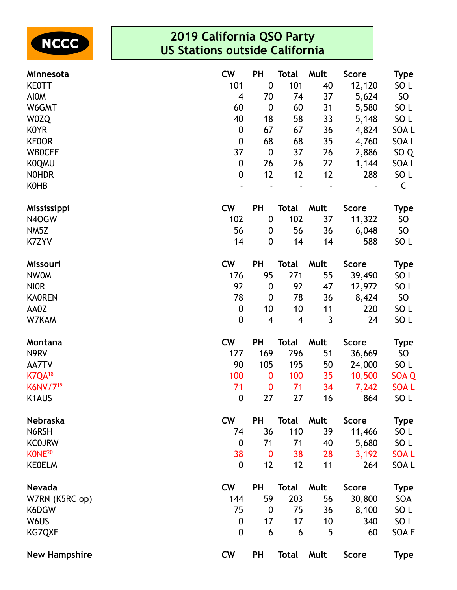

| Minnesota                 | <b>CW</b>               | <b>PH</b>               | Total                   | Mult | <b>Score</b> | <b>Type</b>     |
|---------------------------|-------------------------|-------------------------|-------------------------|------|--------------|-----------------|
| <b>KEOTT</b>              | 101                     | $\boldsymbol{0}$        | 101                     | 40   | 12,120       | SO <sub>L</sub> |
| <b>AIOM</b>               | $\overline{\mathbf{4}}$ | 70                      | 74                      | 37   | 5,624        | SO <sub>1</sub> |
| W6GMT                     | 60                      | $\boldsymbol{0}$        | 60                      | 31   | 5,580        | SO <sub>L</sub> |
| W0ZQ                      | 40                      | 18                      | 58                      | 33   | 5,148        | SO L            |
| <b>KOYR</b>               | 0                       | 67                      | 67                      | 36   | 4,824        | SOA L           |
| <b>KEOOR</b>              | 0                       | 68                      | 68                      | 35   | 4,760        | SOA L           |
| <b>WBOCFF</b>             | 37                      | $\boldsymbol{0}$        | 37                      | 26   | 2,886        | SO <sub>Q</sub> |
| <b>KOQMU</b>              | 0                       | 26                      | 26                      | 22   | 1,144        | SOA L           |
| <b>NOHDR</b>              | 0                       | 12                      | 12                      | 12   | 288          | SO <sub>L</sub> |
| <b>KOHB</b>               |                         |                         |                         |      |              | C               |
| <b>Mississippi</b>        | <b>CW</b>               | PH                      | Total                   | Mult | <b>Score</b> | <b>Type</b>     |
| N4OGW                     | 102                     | $\boldsymbol{0}$        | 102                     | 37   | 11,322       | SO              |
| NM5Z                      | 56                      | 0                       | 56                      | 36   | 6,048        | SO              |
| K7ZYV                     | 14                      | $\boldsymbol{0}$        | 14                      | 14   | 588          | SO <sub>L</sub> |
| Missouri                  | <b>CW</b>               | PH                      | <b>Total</b>            | Mult | <b>Score</b> | <b>Type</b>     |
| <b>NWOM</b>               | 176                     | 95                      | 271                     | 55   | 39,490       | SO <sub>L</sub> |
| <b>NIOR</b>               | 92                      | $\boldsymbol{0}$        | 92                      | 47   | 12,972       | SO <sub>L</sub> |
| <b>KAOREN</b>             | 78                      | $\boldsymbol{0}$        | 78                      | 36   | 8,424        | SO <sub>1</sub> |
| AA0Z                      | 0                       | 10                      | 10                      | 11   | 220          | SO <sub>L</sub> |
| W7KAM                     | 0                       | $\overline{\mathbf{4}}$ | $\overline{\mathbf{4}}$ | 3    | 24           | SO <sub>L</sub> |
| Montana                   | <b>CW</b>               | <b>PH</b>               | <b>Total</b>            | Mult | <b>Score</b> | <b>Type</b>     |
| N9RV                      | 127                     | 169                     | 296                     | 51   | 36,669       | SO              |
| AA7TV                     | 90                      | 105                     | 195                     | 50   | 24,000       | SO <sub>L</sub> |
| <b>K7QA</b> <sup>18</sup> | 100                     | $\bf{0}$                | 100                     | 35   | 10,500       | SOA Q           |
| K6NV/7 <sup>19</sup>      | 71                      | $\bf{0}$                | 71                      | 34   | 7,242        | <b>SOAL</b>     |
| K1AUS                     | 0                       | 27                      | 27                      | 16   | 864          | SO <sub>L</sub> |
| Nebraska                  | <b>CW</b>               | PH                      | <b>Total</b>            | Mult | <b>Score</b> | <b>Type</b>     |
| N6RSH                     | 74                      | 36                      | 110                     | 39   | 11,466       | SO <sub>L</sub> |
| <b>KCOJRW</b>             | 0                       | 71                      | 71                      | 40   | 5,680        | SO <sub>L</sub> |
| KONE <sup>20</sup>        | 38                      | $\bf{0}$                | 38                      | 28   | 3,192        | <b>SOAL</b>     |
| <b>KEOELM</b>             | 0                       | 12                      | 12                      | 11   | 264          | SOA L           |
| Nevada                    | <b>CW</b>               | PH                      | <b>Total</b>            | Mult | <b>Score</b> | <b>Type</b>     |
| W7RN (K5RC op)            | 144                     | 59                      | 203                     | 56   | 30,800       | SOA             |
| K6DGW                     | 75                      | $\boldsymbol{0}$        | 75                      | 36   | 8,100        | SO <sub>L</sub> |
| W6US                      | 0                       | 17                      | 17                      | 10   | 340          | SO L            |
| KG7QXE                    | 0                       | 6                       | 6                       | 5    | 60           | SOA E           |
| <b>New Hampshire</b>      | <b>CW</b>               | <b>PH</b>               | <b>Total</b>            | Mult | <b>Score</b> | <b>Type</b>     |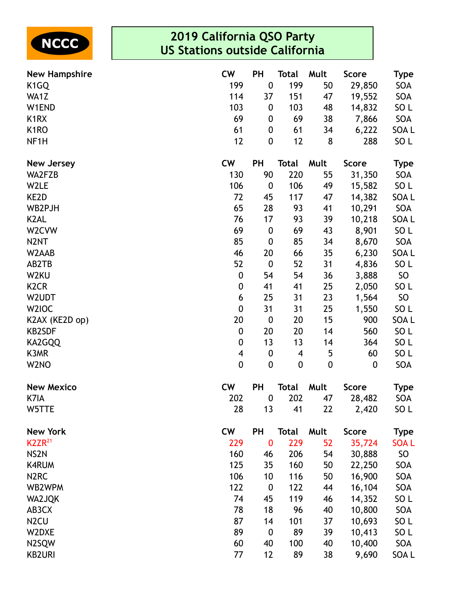

| <b>New Hampshire</b>          | <b>CW</b>               | PH               | <b>Total</b>     | Mult        | <b>Score</b> | <b>Type</b>     |
|-------------------------------|-------------------------|------------------|------------------|-------------|--------------|-----------------|
| K <sub>1</sub> GQ             | 199                     | $\pmb{0}$        | 199              | 50          | 29,850       | SOA             |
| WA1Z                          | 114                     | 37               | 151              | 47          | 19,552       | SOA             |
| W1END                         | 103                     | $\boldsymbol{0}$ | 103              | 48          | 14,832       | SO <sub>L</sub> |
| K <sub>1</sub> R <sub>X</sub> | 69                      | $\boldsymbol{0}$ | 69               | 38          | 7,866        | SOA             |
| K <sub>1</sub> RO             | 61                      | $\boldsymbol{0}$ | 61               | 34          | 6,222        | SOA L           |
| NF <sub>1</sub> H             | 12                      | $\boldsymbol{0}$ | 12               | 8           | 288          | SO <sub>L</sub> |
| <b>New Jersey</b>             | <b>CW</b>               | PH               | <b>Total</b>     | Mult        | <b>Score</b> | <b>Type</b>     |
| WA2FZB                        | 130                     | 90               | 220              | 55          | 31,350       | SOA             |
| W2LE                          | 106                     | $\boldsymbol{0}$ | 106              | 49          | 15,582       | SO <sub>L</sub> |
| KE2D                          | 72                      | 45               | 117              | 47          | 14,382       | SOA L           |
| WB2PJH                        | 65                      | 28               | 93               | 41          | 10,291       | SOA             |
| K <sub>2</sub> AL             | 76                      | 17               | 93               | 39          | 10,218       | SOA L           |
| W2CVW                         | 69                      | $\boldsymbol{0}$ | 69               | 43          | 8,901        | SO <sub>L</sub> |
| N <sub>2</sub> NT             | 85                      | $\boldsymbol{0}$ | 85               | 34          | 8,670        | SOA             |
| W2AAB                         | 46                      | 20               | 66               | 35          | 6,230        | SOA L           |
| AB2TB                         | 52                      | $\boldsymbol{0}$ | 52               | 31          | 4,836        | SO <sub>L</sub> |
| W2KU                          | $\boldsymbol{0}$        | 54               | 54               | 36          | 3,888        | SO              |
| K <sub>2</sub> C <sub>R</sub> | $\boldsymbol{0}$        | 41               | 41               | 25          | 2,050        | SO <sub>L</sub> |
| W2UDT                         | 6                       | 25               | 31               | 23          | 1,564        | SO              |
| W <sub>2</sub> IOC            | $\boldsymbol{0}$        | 31               | 31               | 25          | 1,550        | SO <sub>L</sub> |
| K2AX (KE2D op)                | 20                      | $\boldsymbol{0}$ | 20               | 15          | 900          | SOA L           |
| <b>KB2SDF</b>                 | $\boldsymbol{0}$        | 20               | 20               | 14          | 560          | SO <sub>L</sub> |
| KA2GQQ                        | $\boldsymbol{0}$        | 13               | 13               | 14          | 364          | SO <sub>L</sub> |
| K3MR                          | $\overline{\mathbf{4}}$ | $\boldsymbol{0}$ | 4                | 5           | 60           | SO <sub>L</sub> |
| W <sub>2</sub> NO             | $\mathbf 0$             | $\boldsymbol{0}$ | $\boldsymbol{0}$ | $\mathbf 0$ | 0            | SOA             |
| <b>New Mexico</b>             | <b>CW</b>               | PH               | <b>Total</b>     | Mult        | <b>Score</b> | <b>Type</b>     |
| K7IA                          | 202                     | $\boldsymbol{0}$ | 202              | 47          | 28,482       | SOA             |
| W5TTE                         | 28                      | 13               | 41               | 22          | 2,420        | SO L            |
| <b>New York</b>               | <b>CW</b>               | PH               | <b>Total</b>     | Mult        | <b>Score</b> | <b>Type</b>     |
| $K2ZR^{21}$                   | 229                     | $\bf{0}$         | 229              | 52          | 35,724       | <b>SOAL</b>     |
| NS <sub>2N</sub>              | 160                     | 46               | 206              | 54          | 30,888       | SO              |
| <b>K4RUM</b>                  | 125                     | 35               | 160              | 50          | 22,250       | SOA             |
| N <sub>2</sub> RC             | 106                     | 10               | 116              | 50          | 16,900       | SOA             |
| WB2WPM                        | 122                     | $\boldsymbol{0}$ | 122              | 44          | 16,104       | SOA             |
| <b>WA2JQK</b>                 | 74                      | 45               | 119              | 46          | 14,352       | SO <sub>L</sub> |
| AB3CX                         | 78                      | 18               | 96               | 40          | 10,800       | SOA             |
| N <sub>2</sub> CU             | 87                      | 14               | 101              | 37          | 10,693       | SO <sub>L</sub> |
| W2DXE                         | 89                      | $\boldsymbol{0}$ | 89               | 39          | 10,413       | SO <sub>L</sub> |
| N2SQW                         | 60                      | 40               | 100              | 40          | 10,400       | SOA             |
| <b>KB2URI</b>                 | 77                      | 12               | 89               | 38          | 9,690        | SOA L           |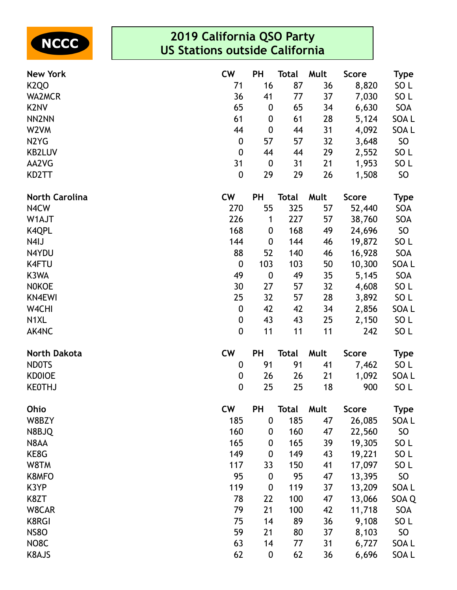

| <b>New York</b>               | <b>CW</b>        | <b>PH</b>        | <b>Total</b> | Mult | <b>Score</b> | <b>Type</b>      |
|-------------------------------|------------------|------------------|--------------|------|--------------|------------------|
| K <sub>2Q</sub> O             | 71               | 16               | 87           | 36   | 8,820        | SO <sub>L</sub>  |
| <b>WA2MCR</b>                 | 36               | 41               | 77           | 37   | 7,030        | SO <sub>L</sub>  |
| K <sub>2</sub> NV             | 65               | $\boldsymbol{0}$ | 65           | 34   | 6,630        | SOA              |
| NN <sub>2NN</sub>             | 61               | $\boldsymbol{0}$ | 61           | 28   | 5,124        | SOA L            |
| W <sub>2</sub> VM             | 44               | $\boldsymbol{0}$ | 44           | 31   | 4,092        | SOA L            |
| N <sub>2</sub> Y <sub>G</sub> | $\boldsymbol{0}$ | 57               | 57           | 32   | 3,648        | SO               |
| <b>KB2LUV</b>                 | $\boldsymbol{0}$ | 44               | 44           | 29   | 2,552        | SO <sub>L</sub>  |
| AA2VG                         | 31               | $\boldsymbol{0}$ | 31           | 21   | 1,953        | SO <sub>L</sub>  |
| KD2TT                         | $\pmb{0}$        | 29               | 29           | 26   | 1,508        | SO               |
| <b>North Carolina</b>         | <b>CW</b>        | <b>PH</b>        | <b>Total</b> | Mult | <b>Score</b> | <b>Type</b>      |
| N4CW                          | 270              | 55               | 325          | 57   | 52,440       | SOA              |
| W1AJT                         | 226              | 1                | 227          | 57   | 38,760       | SOA              |
| <b>K4QPL</b>                  | 168              | $\boldsymbol{0}$ | 168          | 49   | 24,696       | <b>SO</b>        |
| N4IJ                          | 144              | $\boldsymbol{0}$ | 144          | 46   | 19,872       | SO <sub>L</sub>  |
| N4YDU                         | 88               | 52               | 140          | 46   | 16,928       | SOA              |
| <b>K4FTU</b>                  | $\pmb{0}$        | 103              | 103          | 50   | 10,300       | SOA <sub>L</sub> |
| K3WA                          | 49               | $\boldsymbol{0}$ | 49           | 35   | 5,145        | SOA              |
| <b>NOKOE</b>                  | 30               | 27               | 57           | 32   | 4,608        | SO <sub>L</sub>  |
| <b>KN4EWI</b>                 | 25               | 32               | 57           | 28   | 3,892        | SO <sub>L</sub>  |
| W4CHI                         | $\pmb{0}$        | 42               | 42           | 34   | 2,856        | SOA L            |
| N <sub>1</sub> XL             | 0                | 43               | 43           | 25   | 2,150        | SO <sub>L</sub>  |
| AK4NC                         | $\boldsymbol{0}$ | 11               | 11           | 11   | 242          | SO <sub>L</sub>  |
| <b>North Dakota</b>           | <b>CW</b>        | <b>PH</b>        | <b>Total</b> | Mult | Score        | <b>Type</b>      |
| <b>NDOTS</b>                  | 0                | 91               | 91           | 41   | 7,462        | SO <sub>L</sub>  |
| <b>KD0IOE</b>                 | $\pmb{0}$        | 26               | 26           | 21   | 1,092        | SOA L            |
| <b>KEOTHJ</b>                 | $\pmb{0}$        | 25               | 25           | 18   | 900          | SO <sub>L</sub>  |
| Ohio                          | <b>CW</b>        | <b>PH</b>        | <b>Total</b> | Mult | <b>Score</b> | <b>Type</b>      |
| W8BZY                         | 185              | $\pmb{0}$        | 185          | 47   | 26,085       | SOA L            |
| N8BJQ                         | 160              | $\boldsymbol{0}$ | 160          | 47   | 22,560       | <b>SO</b>        |
| N8AA                          | 165              | 0                | 165          | 39   | 19,305       | SO <sub>L</sub>  |
| KE8G                          | 149              | 0                | 149          | 43   | 19,221       | SO <sub>L</sub>  |
| W8TM                          | 117              | 33               | 150          | 41   | 17,097       | SO <sub>L</sub>  |
| K8MFO                         | 95               | $\boldsymbol{0}$ | 95           | 47   | 13,395       | SO               |
| K3YP                          | 119              | $\mathbf 0$      | 119          | 37   | 13,209       | SOA L            |
| K8ZT                          | 78               | 22               | 100          | 47   | 13,066       | SOA Q            |
| W8CAR                         | 79               | 21               | 100          | 42   | 11,718       | SOA              |
| <b>K8RGI</b>                  | 75               | 14               | 89           | 36   | 9,108        | SO <sub>L</sub>  |
| <b>NS80</b>                   | 59               | 21               | 80           | 37   | 8,103        | SO               |
| NO8C                          | 63               | 14               | 77           | 31   | 6,727        | SOA L            |
| K8AJS                         | 62               | $\boldsymbol{0}$ | 62           | 36   | 6,696        | SOA L            |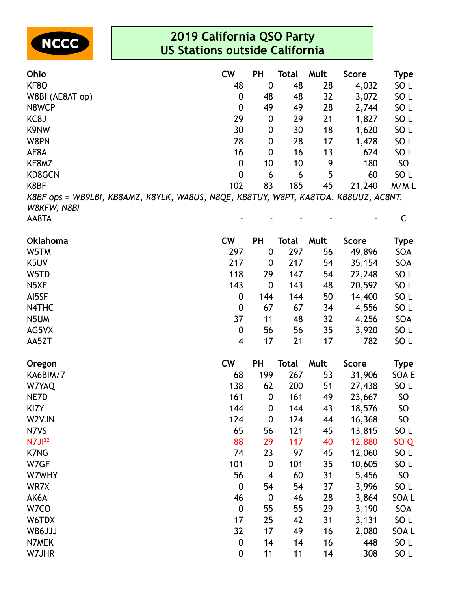

| <b>Ohio</b>                                                                                        | <b>CW</b>   | <b>PH</b>        | Total | Mult | <b>Score</b> | <b>Type</b>     |
|----------------------------------------------------------------------------------------------------|-------------|------------------|-------|------|--------------|-----------------|
| KF8O                                                                                               | 48          | $\boldsymbol{0}$ | 48    | 28   | 4,032        | SO <sub>L</sub> |
| W8BI (AE8AT op)                                                                                    | 0           | 48               | 48    | 32   | 3,072        | SO <sub>L</sub> |
| N8WCP                                                                                              | 0           | 49               | 49    | 28   | 2,744        | SO <sub>L</sub> |
| KC8J                                                                                               | 29          | $\mathbf 0$      | 29    | 21   | 1,827        | SO <sub>L</sub> |
| K9NW                                                                                               | 30          | $\mathbf 0$      | 30    | 18   | 1,620        | SO <sub>L</sub> |
| W8PN                                                                                               | 28          | 0                | 28    | 17   | 1,428        | SO <sub>L</sub> |
| AF8A                                                                                               | 16          | $\mathbf{0}$     | 16    | 13   | 624          | SO <sub>L</sub> |
| KF8MZ                                                                                              | $\mathbf 0$ | 10               | 10    | 9    | 180          | SO              |
| <b>KD8GCN</b>                                                                                      | 0           | 6                | 6     | 5    | 60           | SO <sub>L</sub> |
| K8BF                                                                                               | 102         | 83               | 185   | 45   | 21,240       | M/ML            |
| K8BF ops = WB9LBI, KB8AMZ, K8YLK, WA8US, N8QE, KB8TUY, W8PT, KA8TOA, KB8UUZ, AC8NT,<br>W8KFW, N8BI |             |                  |       |      |              |                 |
| AA8TA                                                                                              |             |                  |       |      |              |                 |

| <b>Oklahoma</b> | <b>CW</b>               | PH                      | Total        | Mult | <b>Score</b> | Type            |
|-----------------|-------------------------|-------------------------|--------------|------|--------------|-----------------|
| W5TM            | 297                     | $\pmb{0}$               | 297          | 56   | 49,896       | SOA             |
| K5UV            | 217                     | $\boldsymbol{0}$        | 217          | 54   | 35,154       | SOA             |
| W5TD            | 118                     | 29                      | 147          | 54   | 22,248       | SO <sub>L</sub> |
| N5XE            | 143                     | $\mathbf 0$             | 143          | 48   | 20,592       | SO <sub>L</sub> |
| AI5SF           | $\boldsymbol{0}$        | 144                     | 144          | 50   | 14,400       | SO <sub>L</sub> |
| N4THC           | $\mathbf 0$             | 67                      | 67           | 34   | 4,556        | SO <sub>L</sub> |
| N5UM            | 37                      | 11                      | 48           | 32   | 4,256        | SOA             |
| AG5VX           | $\boldsymbol{0}$        | 56                      | 56           | 35   | 3,920        | SO <sub>L</sub> |
| AA5ZT           | $\overline{\mathbf{4}}$ | 17                      | 21           | 17   | 782          | SO <sub>L</sub> |
| Oregon          | <b>CW</b>               | PH                      | <b>Total</b> | Mult | <b>Score</b> | <b>Type</b>     |
| KA6BIM/7        | 68                      | 199                     | 267          | 53   | 31,906       | SOA E           |
| W7YAQ           | 138                     | 62                      | 200          | 51   | 27,438       | SO <sub>L</sub> |
| NE7D            | 161                     | $\boldsymbol{0}$        | 161          | 49   | 23,667       | SO              |
| KI7Y            | 144                     | $\boldsymbol{0}$        | 144          | 43   | 18,576       | <b>SO</b>       |
| W2VJN           | 124                     | $\boldsymbol{0}$        | 124          | 44   | 16,368       | SO              |
| N7VS            | 65                      | 56                      | 121          | 45   | 13,815       | SO <sub>L</sub> |
| N7J122          | 88                      | 29                      | 117          | 40   | 12,880       | SO <sub>Q</sub> |
| <b>K7NG</b>     | 74                      | 23                      | 97           | 45   | 12,060       | SO <sub>L</sub> |
| W7GF            | 101                     | $\pmb{0}$               | 101          | 35   | 10,605       | SO <sub>L</sub> |
| W7WHY           | 56                      | $\overline{\mathbf{4}}$ | 60           | 31   | 5,456        | SO              |
| WR7X            | $\boldsymbol{0}$        | 54                      | 54           | 37   | 3,996        | SO <sub>L</sub> |
| AK6A            | 46                      | $\boldsymbol{0}$        | 46           | 28   | 3,864        | SOA L           |
| W7CO            | $\boldsymbol{0}$        | 55                      | 55           | 29   | 3,190        | SOA             |
| W6TDX           | 17                      | 25                      | 42           | 31   | 3,131        | SO <sub>L</sub> |
| WB6JJJ          | 32                      | 17                      | 49           | 16   | 2,080        | SOA L           |
| N7MEK           | $\boldsymbol{0}$        | 14                      | 14           | 16   | 448          | SO <sub>L</sub> |
| W7JHR           | $\boldsymbol{0}$        | 11                      | 11           | 14   | 308          | SO <sub>L</sub> |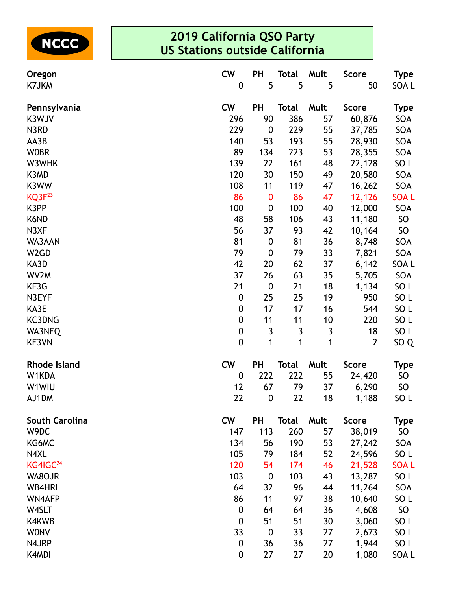

| Oregon                | <b>CW</b>        | PH               | Total        | Mult         | <b>Score</b>   | <b>Type</b>      |
|-----------------------|------------------|------------------|--------------|--------------|----------------|------------------|
| K7JKM                 | $\boldsymbol{0}$ | 5                | 5            | 5            | 50             | SOA L            |
| Pennsylvania          | <b>CW</b>        | PH               | <b>Total</b> | Mult         | <b>Score</b>   | <b>Type</b>      |
| K3WJV                 | 296              | 90               | 386          | 57           | 60,876         | SOA              |
| N3RD                  | 229              | $\boldsymbol{0}$ | 229          | 55           | 37,785         | SOA              |
| AA3B                  | 140              | 53               | 193          | 55           | 28,930         | SOA              |
| <b>WOBR</b>           | 89               | 134              | 223          | 53           | 28,355         | SOA              |
| W3WHK                 | 139              | 22               | 161          | 48           | 22,128         | SO <sub>L</sub>  |
| K3MD                  | 120              | 30               | 150          | 49           | 20,580         | SOA              |
| K3WW                  | 108              | 11               | 119          | 47           | 16,262         | SOA              |
| KQ3F <sup>23</sup>    | 86               | $\bf{0}$         | 86           | 47           | 12,126         | <b>SOAL</b>      |
| K3PP                  | 100              | $\boldsymbol{0}$ | 100          | 40           | 12,000         | SOA              |
| K6ND                  | 48               | 58               | 106          | 43           | 11,180         | SO               |
| N3XF                  | 56               | 37               | 93           | 42           | 10,164         | SO               |
| WA3AAN                | 81               | $\boldsymbol{0}$ | 81           | 36           | 8,748          | SOA              |
| W <sub>2</sub> GD     | 79               | $\boldsymbol{0}$ | 79           | 33           | 7,821          | SOA              |
| KA3D                  | 42               | 20               | 62           | 37           | 6,142          | SOA L            |
| WV2M                  | 37               | 26               | 63           | 35           | 5,705          | SOA              |
| KF3G                  | 21               | $\boldsymbol{0}$ | 21           | 18           | 1,134          | SO <sub>L</sub>  |
| N3EYF                 | $\boldsymbol{0}$ | 25               | 25           | 19           | 950            | SO <sub>L</sub>  |
| KA3E                  | $\boldsymbol{0}$ | 17               | 17           | 16           | 544            | SO <sub>L</sub>  |
| <b>KC3DNG</b>         | $\boldsymbol{0}$ | 11               | 11           | 10           | 220            | SO <sub>L</sub>  |
| WA3NEQ                | $\boldsymbol{0}$ | $\mathsf 3$      | $\mathbf{3}$ | $\mathbf{3}$ | 18             | SO <sub>L</sub>  |
| KE3VN                 | $\boldsymbol{0}$ | 1                | 1            | $\mathbf{1}$ | $\overline{2}$ | SO <sub>Q</sub>  |
| <b>Rhode Island</b>   | <b>CW</b>        | PH               | <b>Total</b> | Mult         | <b>Score</b>   | <b>Type</b>      |
| W1KDA                 | $\boldsymbol{0}$ | 222              | 222          | 55           | 24,420         | SO               |
| W1WIU                 | 12               | 67               | 79           | 37           | 6,290          | SO               |
| AJ1DM                 | 22               | $\boldsymbol{0}$ | 22           | 18           | 1,188          | SO <sub>L</sub>  |
| <b>South Carolina</b> | <b>CW</b>        | <b>PH</b>        | <b>Total</b> | Mult         | <b>Score</b>   | <b>Type</b>      |
| W9DC                  | 147              | 113              | 260          | 57           | 38,019         | SO               |
| KG6MC                 | 134              | 56               | 190          | 53           | 27,242         | SOA              |
| N4XL                  | 105              | 79               | 184          | 52           | 24,596         | SO <sub>L</sub>  |
| KG4IGC <sup>24</sup>  | 120              | 54               | 174          | 46           | 21,528         | <b>SOAL</b>      |
| WA8OJR                | 103              | $\boldsymbol{0}$ | 103          | 43           | 13,287         | SO <sub>L</sub>  |
| <b>WB4HRL</b>         | 64               | 32               | 96           | 44           | 11,264         | SOA              |
| <b>WN4AFP</b>         | 86               | 11               | 97           | 38           | 10,640         | SO <sub>L</sub>  |
| W4SLT                 | $\boldsymbol{0}$ | 64               | 64           | 36           | 4,608          | SO               |
| K4KWB                 | $\boldsymbol{0}$ | 51               | 51           | 30           | 3,060          | SO <sub>L</sub>  |
| <b>WONV</b>           | 33               | $\boldsymbol{0}$ | 33           | 27           | 2,673          | SO <sub>L</sub>  |
| N4JRP                 | $\boldsymbol{0}$ | 36               | 36           | 27           | 1,944          | SO <sub>L</sub>  |
| K4MDI                 | $\boldsymbol{0}$ | 27               | 27           | 20           | 1,080          | SOA <sub>L</sub> |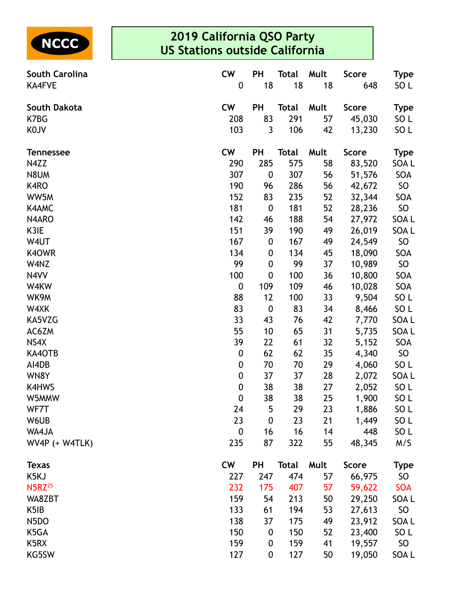

| <b>South Carolina</b>     | <b>CW</b>        | PH               | Total        | Mult | <b>Score</b> | Type            |
|---------------------------|------------------|------------------|--------------|------|--------------|-----------------|
| <b>KA4FVE</b>             | $\boldsymbol{0}$ | 18               | 18           | 18   | 648          | SO L            |
| South Dakota              | <b>CW</b>        | <b>PH</b>        | <b>Total</b> | Mult | <b>Score</b> | Type            |
| K7BG                      | 208              | 83               | 291          | 57   | 45,030       | SO L            |
| K0JV                      | 103              | 3                | 106          | 42   | 13,230       | SO <sub>L</sub> |
| <b>Tennessee</b>          | <b>CW</b>        | PH               | <b>Total</b> | Mult | <b>Score</b> | <b>Type</b>     |
| N4ZZ                      | 290              | 285              | 575          | 58   | 83,520       | SOA L           |
| N8UM                      | 307              | 0                | 307          | 56   | 51,576       | SOA             |
| K4RO                      | 190              | 96               | 286          | 56   | 42,672       | SO              |
| WW5M                      | 152              | 83               | 235          | 52   | 32,344       | SOA             |
| K4AMC                     | 181              | $\boldsymbol{0}$ | 181          | 52   | 28,236       | SO              |
| N4ARO                     | 142              | 46               | 188          | 54   | 27,972       | SOA L           |
| K3IE                      | 151              | 39               | 190          | 49   | 26,019       | SOA L           |
| W4UT                      | 167              | 0                | 167          | 49   | 24,549       | SO              |
| K40WR                     | 134              | 0                | 134          | 45   | 18,090       | SOA             |
| W4NZ                      | 99               | $\boldsymbol{0}$ | 99           | 37   | 10,989       | SO              |
| N4VV                      | 100              | $\boldsymbol{0}$ | 100          | 36   | 10,800       | SOA             |
| W4KW                      | $\boldsymbol{0}$ | 109              | 109          | 46   | 10,028       | SOA             |
| WK9M                      | 88               | 12               | 100          | 33   | 9,504        | SO <sub>L</sub> |
| W4XK                      | 83               | $\boldsymbol{0}$ | 83           | 34   | 8,466        | SO <sub>L</sub> |
| KA5VZG                    | 33               | 43               | 76           | 42   | 7,770        | SOA L           |
| AC6ZM                     | 55               | 10               | 65           | 31   | 5,735        | SOA L           |
| NS4X                      | 39               | 22               | 61           | 32   | 5,152        | SOA             |
| KA4OTB                    | $\boldsymbol{0}$ | 62               | 62           | 35   | 4,340        | SO              |
| AI4DB                     | 0                | 70               | 70           | 29   | 4,060        | SO <sub>L</sub> |
| WN8Y                      | $\boldsymbol{0}$ | 37               | 37           | 28   | 2,072        | SOA L           |
| K4HWS                     | $\boldsymbol{0}$ | 38               | 38           | 27   | 2,052        | SO <sub>L</sub> |
| W5MMW                     | $\mathbf 0$      | 38               | 38           | 25   | 1,900        | SO <sub>L</sub> |
| WF7T                      | 24               | 5                | 29           | 23   | 1,886        | SO <sub>L</sub> |
| W6UB                      | 23               | 0                | 23           | 21   | 1,449        | SO L            |
| WA4JA                     | $\mathbf 0$      | 16               | 16           | 14   | 448          | SO <sub>L</sub> |
| WV4P (+ W4TLK)            | 235              | 87               | 322          | 55   | 48,345       | M/S             |
| <b>Texas</b>              | <b>CW</b>        | PH               | <b>Total</b> | Mult | <b>Score</b> | <b>Type</b>     |
| K5KJ                      | 227              | 247              | 474          | 57   | 66,975       | SO              |
| <b>N5RZ</b> <sup>25</sup> | 232              | 175              | 407          | 57   | 59,622       | <b>SOA</b>      |
| WA8ZBT                    | 159              | 54               | 213          | 50   | 29,250       | SOA L           |
| K <sub>5</sub> IB         | 133              | 61               | 194          | 53   | 27,613       | SO              |
| N5DO                      | 138              | 37               | 175          | 49   | 23,912       | SOA L           |
| K5GA                      | 150              | 0                | 150          | 52   | 23,400       | SO <sub>L</sub> |
| K5RX                      | 159              | 0                | 159          | 41   | 19,557       | SO              |
| KG5SW                     | 127              | 0                | 127          | 50   | 19,050       | SOA L           |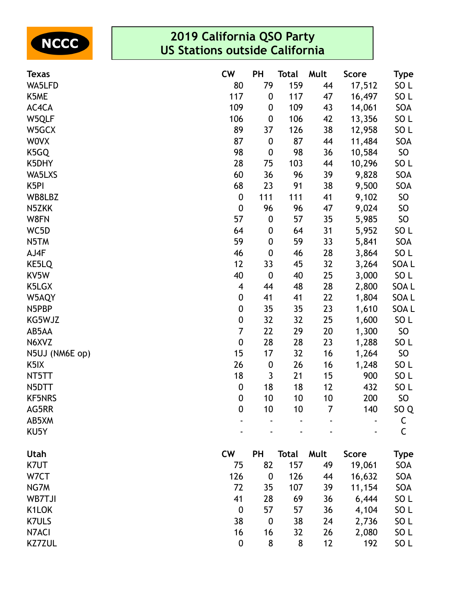

| <b>Texas</b>      | <b>CW</b>                | <b>PH</b>        | <b>Total</b> | Mult | <b>Score</b> | Type            |
|-------------------|--------------------------|------------------|--------------|------|--------------|-----------------|
| WA5LFD            | 80                       | 79               | 159          | 44   | 17,512       | SO L            |
| K5ME              | 117                      | $\boldsymbol{0}$ | 117          | 47   | 16,497       | SO <sub>L</sub> |
| AC4CA             | 109                      | $\boldsymbol{0}$ | 109          | 43   | 14,061       | SOA             |
| W5QLF             | 106                      | $\boldsymbol{0}$ | 106          | 42   | 13,356       | SO <sub>L</sub> |
| W5GCX             | 89                       | 37               | 126          | 38   | 12,958       | SO <sub>L</sub> |
| <b>WOVX</b>       | 87                       | $\boldsymbol{0}$ | 87           | 44   | 11,484       | SOA             |
| K5GQ              | 98                       | $\boldsymbol{0}$ | 98           | 36   | 10,584       | SO              |
| K5DHY             | 28                       | 75               | 103          | 44   | 10,296       | SO <sub>L</sub> |
| WA5LXS            | 60                       | 36               | 96           | 39   | 9,828        | SOA             |
| K <sub>5</sub> PI | 68                       | 23               | 91           | 38   | 9,500        | SOA             |
| WB8LBZ            | $\boldsymbol{0}$         | 111              | 111          | 41   | 9,102        | SO              |
| N5ZKK             | $\boldsymbol{0}$         | 96               | 96           | 47   | 9,024        | SO              |
| W8FN              | 57                       | $\boldsymbol{0}$ | 57           | 35   | 5,985        | SO              |
| WC5D              | 64                       | $\boldsymbol{0}$ | 64           | 31   | 5,952        | SO <sub>L</sub> |
| N5TM              | 59                       | $\boldsymbol{0}$ | 59           | 33   | 5,841        | SOA             |
| AJ4F              | 46                       | $\boldsymbol{0}$ | 46           | 28   | 3,864        | SO L            |
| KE5LQ             | 12                       | 33               | 45           | 32   | 3,264        | SOA L           |
| KV5W              | 40                       | $\boldsymbol{0}$ | 40           | 25   | 3,000        | SO L            |
| K5LGX             | $\overline{\mathcal{A}}$ | 44               | 48           | 28   | 2,800        | SOA L           |
| W5AQY             | $\boldsymbol{0}$         | 41               | 41           | 22   | 1,804        | SOA L           |
| N5PBP             | $\boldsymbol{0}$         | 35               | 35           | 23   | 1,610        | SOA L           |
| KG5WJZ            | $\boldsymbol{0}$         | 32               | 32           | 25   | 1,600        | SO <sub>L</sub> |
| AB5AA             | $\overline{7}$           | 22               | 29           | 20   | 1,300        | SO              |
| N6XVZ             | $\boldsymbol{0}$         | 28               | 28           | 23   | 1,288        | SO <sub>L</sub> |
| N5UJ (NM6E op)    | 15                       | 17               | 32           | 16   | 1,264        | SO              |
| K <sub>5</sub> IX | 26                       | $\boldsymbol{0}$ | 26           | 16   | 1,248        | SO <sub>L</sub> |
| NT5TT             | 18                       | 3                | 21           | 15   | 900          | SO <sub>L</sub> |
| N5DTT             | $\boldsymbol{0}$         | 18               | 18           | 12   | 432          | SO <sub>L</sub> |
| <b>KF5NRS</b>     | $\mathbf{0}$             | 10               | 10           | 10   | 200          | SO.             |
| AG5RR             | $\boldsymbol{0}$         | 10               | 10           | 7    | 140          | SO <sub>Q</sub> |
| AB5XM             |                          |                  |              |      |              | $\mathsf{C}$    |
| KU5Y              |                          |                  |              |      |              | $\mathsf C$     |
| Utah              | <b>CW</b>                | PH               | <b>Total</b> | Mult | <b>Score</b> | <b>Type</b>     |
| K7UT              | 75                       | 82               | 157          | 49   | 19,061       | SOA             |
| W7CT              | 126                      | $\boldsymbol{0}$ | 126          | 44   | 16,632       | SOA             |
| NG7M              | 72                       | 35               | 107          | 39   | 11,154       | SOA             |
| WB7TJI            | 41                       | 28               | 69           | 36   | 6,444        | SO <sub>L</sub> |
| K1LOK             | $\boldsymbol{0}$         | 57               | 57           | 36   | 4,104        | SO <sub>L</sub> |
| <b>K7ULS</b>      | 38                       | $\boldsymbol{0}$ | 38           | 24   | 2,736        | SO <sub>L</sub> |
| N7ACI             | 16                       | 16               | 32           | 26   | 2,080        | SO <sub>L</sub> |
| <b>KZ7ZUL</b>     | $\boldsymbol{0}$         | 8                | 8            | 12   | 192          | SO L            |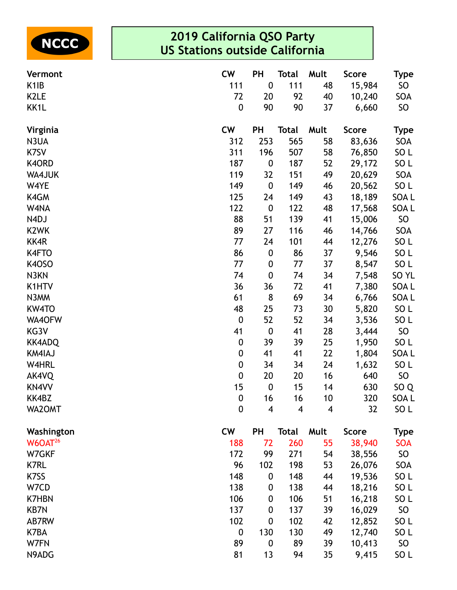

| Vermont             | <b>CW</b>        | <b>PH</b>               | <b>Total</b> | Mult | <b>Score</b> | <b>Type</b>      |
|---------------------|------------------|-------------------------|--------------|------|--------------|------------------|
| K <sub>1</sub> IB   | 111              | $\pmb{0}$               | 111          | 48   | 15,984       | SO               |
| K <sub>2</sub> LE   | 72               | 20                      | 92           | 40   | 10,240       | SOA              |
| KK1L                | $\boldsymbol{0}$ | 90                      | 90           | 37   | 6,660        | SO <sub>1</sub>  |
| Virginia            | <b>CW</b>        | PH                      | Total        | Mult | <b>Score</b> | <b>Type</b>      |
| N3UA                | 312              | 253                     | 565          | 58   | 83,636       | SOA              |
| K7SV                | 311              | 196                     | 507          | 58   | 76,850       | SO <sub>L</sub>  |
| K4ORD               | 187              | $\pmb{0}$               | 187          | 52   | 29,172       | SO <sub>L</sub>  |
| WA4JUK              | 119              | 32                      | 151          | 49   | 20,629       | SOA              |
| W4YE                | 149              | $\pmb{0}$               | 149          | 46   | 20,562       | SO <sub>L</sub>  |
| K4GM                | 125              | 24                      | 149          | 43   | 18,189       | SOA L            |
| W4NA                | 122              | $\pmb{0}$               | 122          | 48   | 17,568       | SOA L            |
| N4DJ                | 88               | 51                      | 139          | 41   | 15,006       | SO               |
| K <sub>2</sub> WK   | 89               | 27                      | 116          | 46   | 14,766       | SOA              |
| KK4R                | 77               | 24                      | 101          | 44   | 12,276       | SO <sub>L</sub>  |
| K4FTO               | 86               | $\pmb{0}$               | 86           | 37   | 9,546        | SO <sub>L</sub>  |
| <b>K40SO</b>        | 77               | $\boldsymbol{0}$        | 77           | 37   | 8,547        | SO <sub>L</sub>  |
| N3KN                | 74               | $\pmb{0}$               | 74           | 34   | 7,548        | SO <sub>YL</sub> |
| K1HTV               | 36               | 36                      | 72           | 41   | 7,380        | SOA L            |
| N3MM                | 61               | $\bf 8$                 | 69           | 34   | 6,766        | SOA L            |
| KW4TO               | 48               | 25                      | 73           | 30   | 5,820        | SO <sub>L</sub>  |
| WA40FW              | $\boldsymbol{0}$ | 52                      | 52           | 34   | 3,536        | SO <sub>L</sub>  |
| KG3V                | 41               | $\pmb{0}$               | 41           | 28   | 3,444        | SO               |
| <b>KK4ADQ</b>       | $\boldsymbol{0}$ | 39                      | 39           | 25   | 1,950        | SO <sub>L</sub>  |
| KM4IAJ              | $\boldsymbol{0}$ | 41                      | 41           | 22   | 1,804        | SOA L            |
| W4HRL               | $\boldsymbol{0}$ | 34                      | 34           | 24   | 1,632        | SO <sub>L</sub>  |
| AK4VQ               | $\mathbf 0$      | 20                      | 20           | 16   | 640          | SO               |
| KN4VV               | 15               | $\pmb{0}$               | 15           | 14   | 630          | SO <sub>Q</sub>  |
| KK4BZ               | $\mathbf{0}$     | 16                      | 16           | 10   | 320          | <b>SOAL</b>      |
| WA2OMT              | $\boldsymbol{0}$ | $\overline{\mathbf{4}}$ | 4            | 4    | 32           | SO <sub>L</sub>  |
| Washington          | <b>CW</b>        | PH                      | <b>Total</b> | Mult | <b>Score</b> | <b>Type</b>      |
| W6OAT <sup>26</sup> | 188              | 72                      | 260          | 55   | 38,940       | <b>SOA</b>       |
| W7GKF               | 172              | 99                      | 271          | 54   | 38,556       | SO               |
| <b>K7RL</b>         | 96               | 102                     | 198          | 53   | 26,076       | SOA              |
| K7SS                | 148              | $\boldsymbol{0}$        | 148          | 44   | 19,536       | SO <sub>L</sub>  |
| W7CD                | 138              | 0                       | 138          | 44   | 18,216       | SO <sub>L</sub>  |
| <b>K7HBN</b>        | 106              | $\boldsymbol{0}$        | 106          | 51   | 16,218       | SO <sub>L</sub>  |
| <b>KB7N</b>         | 137              | $\boldsymbol{0}$        | 137          | 39   | 16,029       | SO               |
| AB7RW               | 102              | $\mathbf 0$             | 102          | 42   | 12,852       | SO <sub>L</sub>  |
| K7BA                | $\mathbf 0$      | 130                     | 130          | 49   | 12,740       | SO <sub>L</sub>  |
| W7FN                | 89               | $\boldsymbol{0}$        | 89           | 39   | 10,413       | SO <sub>1</sub>  |
| N9ADG               | 81               | 13                      | 94           | 35   | 9,415        | SO L             |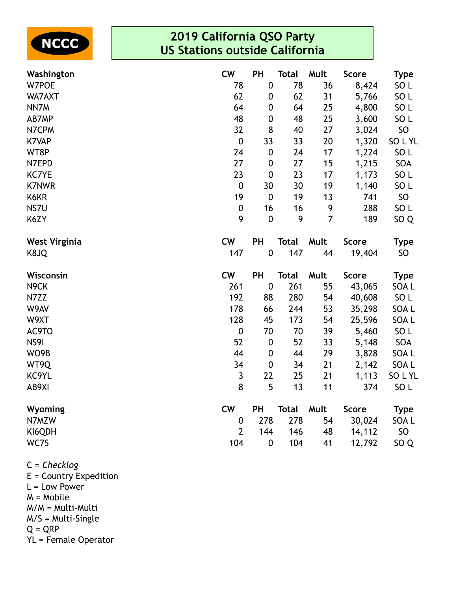

| Washington           | <b>CW</b>        | PH               | <b>Total</b> | Mult           | <b>Score</b> | <b>Type</b>     |
|----------------------|------------------|------------------|--------------|----------------|--------------|-----------------|
| W7POE                | 78               | $\pmb{0}$        | 78           | 36             | 8,424        | SO <sub>L</sub> |
| WA7AXT               | 62               | $\boldsymbol{0}$ | 62           | 31             | 5,766        | SO <sub>L</sub> |
| NN7M                 | 64               | $\boldsymbol{0}$ | 64           | 25             | 4,800        | SO <sub>L</sub> |
| AB7MP                | 48               | $\pmb{0}$        | 48           | 25             | 3,600        | SO <sub>L</sub> |
| N7CPM                | 32               | 8                | 40           | 27             | 3,024        | <b>SO</b>       |
| <b>K7VAP</b>         | $\boldsymbol{0}$ | 33               | 33           | 20             | 1,320        | SOLYL           |
| WT8P                 | 24               | $\pmb{0}$        | 24           | 17             | 1,224        | SO <sub>L</sub> |
| N7EPD                | 27               | $\pmb{0}$        | 27           | 15             | 1,215        | SOA             |
| <b>KC7YE</b>         | 23               | $\boldsymbol{0}$ | 23           | 17             | 1,173        | SO <sub>L</sub> |
| <b>K7NWR</b>         | $\boldsymbol{0}$ | 30               | 30           | 19             | 1,140        | SO <sub>L</sub> |
| K6KR                 | 19               | $\boldsymbol{0}$ | 19           | 13             | 741          | <b>SO</b>       |
| NS7U                 | $\boldsymbol{0}$ | 16               | 16           | 9              | 288          | SO <sub>L</sub> |
| K6ZY                 | 9                | $\mathbf 0$      | 9            | $\overline{7}$ | 189          | SO <sub>Q</sub> |
| <b>West Virginia</b> | <b>CW</b>        | <b>PH</b>        | <b>Total</b> | Mult           | <b>Score</b> | <b>Type</b>     |
| K8JQ                 | 147              | $\pmb{0}$        | 147          | 44             | 19,404       | <b>SO</b>       |
| Wisconsin            | <b>CW</b>        | PH               | <b>Total</b> | Mult           | <b>Score</b> | <b>Type</b>     |
| N <sub>9</sub> CK    | 261              | $\boldsymbol{0}$ | 261          | 55             | 43,065       | SOA L           |
| N7ZZ                 | 192              | 88               | 280          | 54             | 40,608       | SO <sub>L</sub> |
| W9AV                 | 178              | 66               | 244          | 53             | 35,298       | SOA L           |
| W9XT                 | 128              | 45               | 173          | 54             | 25,596       | SOA L           |
| AC9TO                | $\pmb{0}$        | 70               | 70           | 39             | 5,460        | SO <sub>L</sub> |
| NS91                 | 52               | $\boldsymbol{0}$ | 52           | 33             | 5,148        | SOA             |
| WO9B                 | 44               | $\boldsymbol{0}$ | 44           | 29             | 3,828        | SOA L           |
| WT9Q                 | 34               | $\boldsymbol{0}$ | 34           | 21             | 2,142        | SOA L           |
| KC9YL                | 3                | 22               | 25           | 21             | 1,113        | SOLYL           |
| AB9XI                | 8                | 5                | 13           | 11             | 374          | SO <sub>L</sub> |
| Wyoming              | <b>CW</b>        | PH               | <b>Total</b> | Mult           | <b>Score</b> | <b>Type</b>     |
| N7MZW                | $\boldsymbol{0}$ | 278              | 278          | 54             | 30,024       | SOA L           |
| KI6QDH               | 2                | 144              | 146          | 48             | 14,112       | <b>SO</b>       |
| WC7S                 | 104              | $\boldsymbol{0}$ | 104          | 41             | 12,792       | SO <sub>Q</sub> |

C = *Checklog*

E = Country Expedition L = Low Power M = Mobile M/M = Multi-Multi M/S = Multi-Single  $Q = QRP$ YL = Female Operator